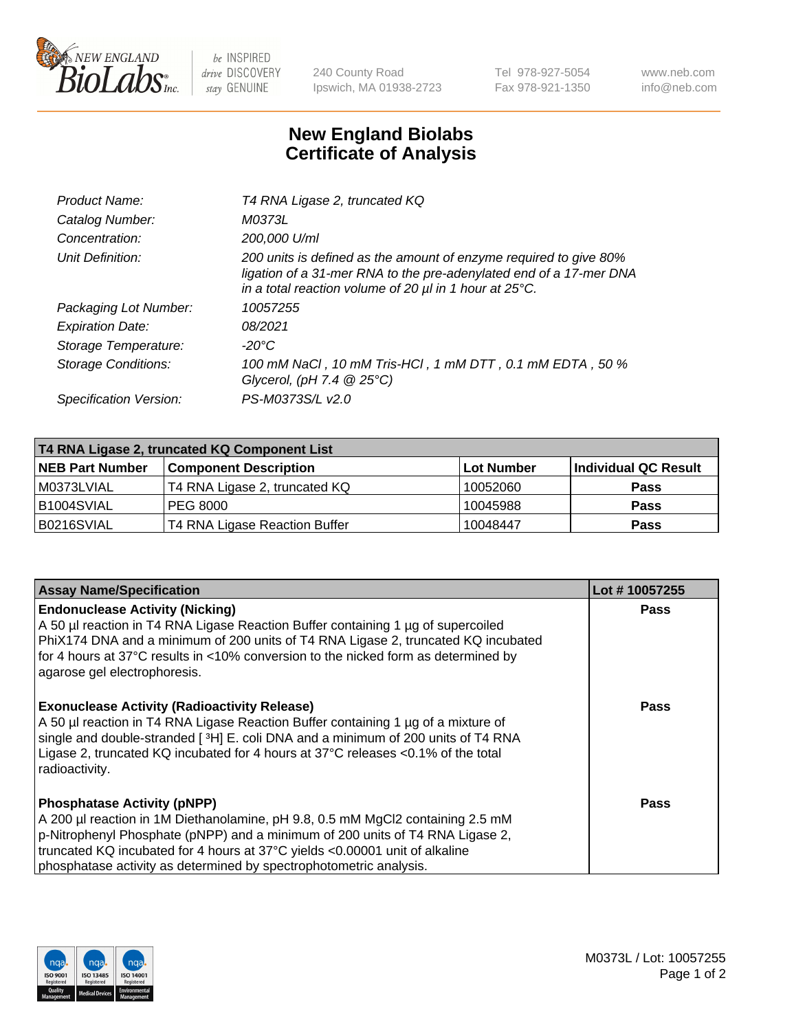

 $be$  INSPIRED drive DISCOVERY stay GENUINE

240 County Road Ipswich, MA 01938-2723 Tel 978-927-5054 Fax 978-921-1350 www.neb.com info@neb.com

## **New England Biolabs Certificate of Analysis**

| Product Name:              | T4 RNA Ligase 2, truncated KQ                                                                                                                                                                                    |
|----------------------------|------------------------------------------------------------------------------------------------------------------------------------------------------------------------------------------------------------------|
| Catalog Number:            | M0373L                                                                                                                                                                                                           |
| Concentration:             | 200,000 U/ml                                                                                                                                                                                                     |
| Unit Definition:           | 200 units is defined as the amount of enzyme required to give 80%<br>ligation of a 31-mer RNA to the pre-adenylated end of a 17-mer DNA<br>in a total reaction volume of 20 $\mu$ l in 1 hour at 25 $\degree$ C. |
| Packaging Lot Number:      | 10057255                                                                                                                                                                                                         |
| <b>Expiration Date:</b>    | 08/2021                                                                                                                                                                                                          |
| Storage Temperature:       | -20°C                                                                                                                                                                                                            |
| <b>Storage Conditions:</b> | 100 mM NaCl, 10 mM Tris-HCl, 1 mM DTT, 0.1 mM EDTA, 50 %<br>Glycerol, (pH 7.4 $@25°C$ )                                                                                                                          |
| Specification Version:     | PS-M0373S/L v2.0                                                                                                                                                                                                 |

| T4 RNA Ligase 2, truncated KQ Component List |                               |            |                      |  |  |
|----------------------------------------------|-------------------------------|------------|----------------------|--|--|
| <b>NEB Part Number</b>                       | <b>Component Description</b>  | Lot Number | Individual QC Result |  |  |
| l M0373LVIAL                                 | T4 RNA Ligase 2, truncated KQ | 10052060   | <b>Pass</b>          |  |  |
| B1004SVIAL                                   | PEG 8000                      | 10045988   | <b>Pass</b>          |  |  |
| B0216SVIAL                                   | T4 RNA Ligase Reaction Buffer | 10048447   | <b>Pass</b>          |  |  |

| <b>Assay Name/Specification</b>                                                                                                                                                                                                                                                                                                                            | Lot #10057255 |
|------------------------------------------------------------------------------------------------------------------------------------------------------------------------------------------------------------------------------------------------------------------------------------------------------------------------------------------------------------|---------------|
| <b>Endonuclease Activity (Nicking)</b><br>A 50 µl reaction in T4 RNA Ligase Reaction Buffer containing 1 µg of supercoiled<br>PhiX174 DNA and a minimum of 200 units of T4 RNA Ligase 2, truncated KQ incubated<br>for 4 hours at 37°C results in <10% conversion to the nicked form as determined by<br>agarose gel electrophoresis.                      | <b>Pass</b>   |
| <b>Exonuclease Activity (Radioactivity Release)</b><br>A 50 µl reaction in T4 RNA Ligase Reaction Buffer containing 1 µg of a mixture of<br>single and double-stranded [3H] E. coli DNA and a minimum of 200 units of T4 RNA<br>Ligase 2, truncated KQ incubated for 4 hours at 37°C releases <0.1% of the total<br>radioactivity.                         | Pass          |
| <b>Phosphatase Activity (pNPP)</b><br>A 200 µl reaction in 1M Diethanolamine, pH 9.8, 0.5 mM MgCl2 containing 2.5 mM<br>p-Nitrophenyl Phosphate (pNPP) and a minimum of 200 units of T4 RNA Ligase 2,<br>truncated KQ incubated for 4 hours at 37°C yields <0.00001 unit of alkaline<br>phosphatase activity as determined by spectrophotometric analysis. | Pass          |